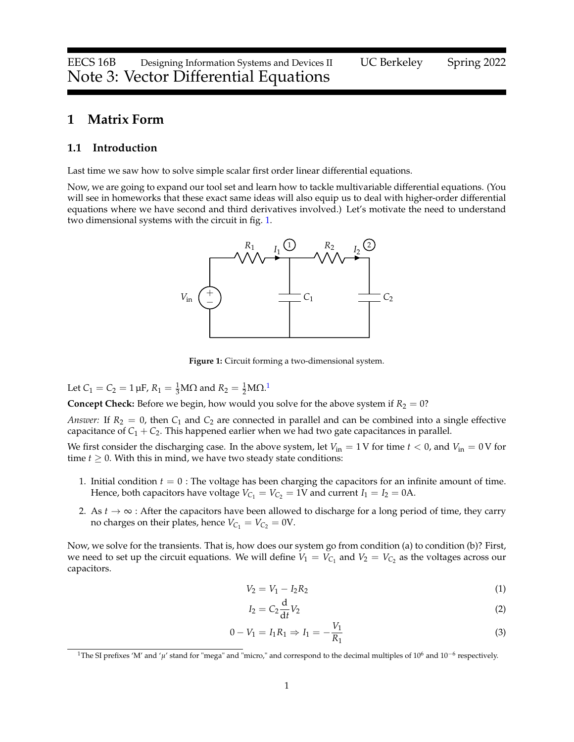## <span id="page-0-5"></span>**1 Matrix Form**

#### **1.1 Introduction**

Last time we saw how to solve simple scalar first order linear differential equations.

<span id="page-0-0"></span>Now, we are going to expand our tool set and learn how to tackle multivariable differential equations. (You will see in homeworks that these exact same ideas will also equip us to deal with higher-order differential equations where we have second and third derivatives involved.) Let's motivate the need to understand two dimensional systems with the circuit in fig. [1.](#page-0-0)



**Figure 1:** Circuit forming a two-dimensional system.

Let  $C_1 = C_2 = 1 \,\mu\text{F}$  $C_1 = C_2 = 1 \,\mu\text{F}$  $C_1 = C_2 = 1 \,\mu\text{F}$ ,  $R_1 = \frac{1}{3} \text{M}\Omega$  and  $R_2 = \frac{1}{2} \text{M}\Omega$ .<sup>1</sup>

**Concept Check:** Before we begin, how would you solve for the above system if  $R_2 = 0$ ?

*Answer:* If  $R_2 = 0$ , then  $C_1$  and  $C_2$  are connected in parallel and can be combined into a single effective capacitance of  $C_1 + C_2$ . This happened earlier when we had two gate capacitances in parallel.

We first consider the discharging case. In the above system, let  $V_{in} = 1$  V for time  $t < 0$ , and  $V_{in} = 0$  V for time  $t \geq 0$ . With this in mind, we have two steady state conditions:

- 1. Initial condition *t* = 0 : The voltage has been charging the capacitors for an infinite amount of time. Hence, both capacitors have voltage  $V_{C_1} = V_{C_2} = 1$ V and current  $I_1 = I_2 = 0$ A.
- 2. As  $t \to \infty$  : After the capacitors have been allowed to discharge for a long period of time, they carry no charges on their plates, hence  $V_{C_1} = V_{C_2} = 0$ V.

Now, we solve for the transients. That is, how does our system go from condition (a) to condition (b)? First, we need to set up the circuit equations. We will define  $V_1 = V_{C_1}$  and  $V_2 = V_{C_2}$  as the voltages across our capacitors.

$$
V_2 = V_1 - I_2 R_2 \tag{1}
$$

<span id="page-0-4"></span><span id="page-0-3"></span><span id="page-0-2"></span>
$$
I_2 = C_2 \frac{\mathrm{d}}{\mathrm{d}t} V_2 \tag{2}
$$

$$
0 - V_1 = I_1 R_1 \Rightarrow I_1 = -\frac{V_1}{R_1}
$$
\n(3)

<span id="page-0-1"></span><sup>&</sup>lt;sup>1</sup>The SI prefixes 'M' and 'μ' stand for "mega" and "micro," and correspond to the decimal multiples of 10<sup>6</sup> and 10<sup>-6</sup> respectively.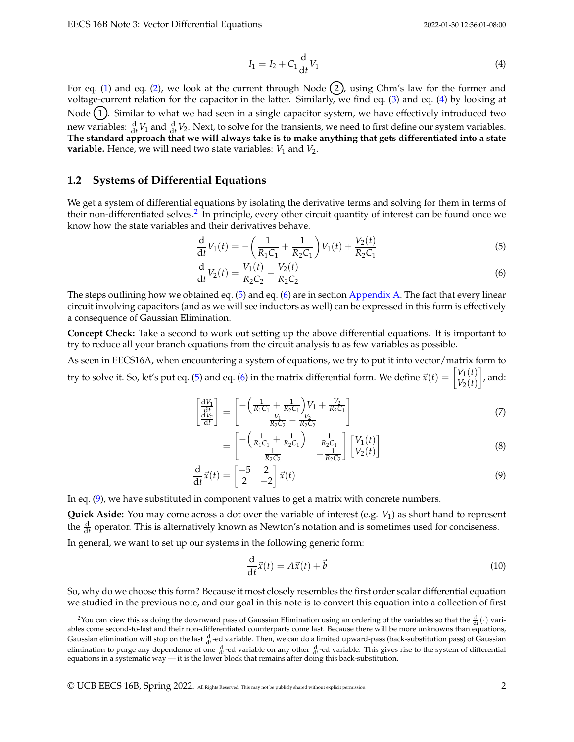<span id="page-1-0"></span>
$$
I_1 = I_2 + C_1 \frac{d}{dt} V_1
$$
 (4)

For eq. [\(1\)](#page-0-2) and eq. [\(2\)](#page-0-3), we look at the current through Node  $(2)$ , using Ohm's law for the former and voltage-current relation for the capacitor in the latter. Similarly, we find eq. [\(3\)](#page-0-4) and eq. [\(4\)](#page-1-0) by looking at Node (1). Similar to what we had seen in a single capacitor system, we have effectively introduced two new variables:  $\frac{d}{dt}V_1$  and  $\frac{d}{dt}V_2$ . Next, to solve for the transients, we need to first define our system variables. **The standard approach that we will always take is to make anything that gets differentiated into a state variable.** Hence, we will need two state variables:  $V_1$  and  $V_2$ .

#### **1.2 Systems of Differential Equations**

We get a system of differential equations by isolating the derivative terms and solving for them in terms of their non-differentiated selves.<sup>[2](#page-1-1)</sup> In principle, every other circuit quantity of interest can be found once we know how the state variables and their derivatives behave.

<span id="page-1-2"></span>
$$
\frac{\mathrm{d}}{\mathrm{d}t}V_1(t) = -\left(\frac{1}{R_1C_1} + \frac{1}{R_2C_1}\right)V_1(t) + \frac{V_2(t)}{R_2C_1}
$$
\n(5)

<span id="page-1-3"></span>
$$
\frac{d}{dt}V_2(t) = \frac{V_1(t)}{R_2C_2} - \frac{V_2(t)}{R_2C_2}
$$
\n(6)

The steps outlining how we obtained eq. [\(5\)](#page-1-2) and eq. [\(6\)](#page-1-3) are in section [Appendix A.](#page-0-5) The fact that every linear circuit involving capacitors (and as we will see inductors as well) can be expressed in this form is effectively a consequence of Gaussian Elimination.

**Concept Check:** Take a second to work out setting up the above differential equations. It is important to try to reduce all your branch equations from the circuit analysis to as few variables as possible.

As seen in EECS16A, when encountering a system of equations, we try to put it into vector/matrix form to try to solve it. So, let's put eq. [\(5\)](#page-1-2) and eq. [\(6\)](#page-1-3) in the matrix differential form. We define  $\vec{x}(t) = \begin{bmatrix} V_1(t) & V_2(t) \end{bmatrix}$  $V_2(t)$  $\big]$ , and:

$$
\begin{bmatrix} \frac{dV_1}{dt} \\ \frac{dV_2}{dt} \end{bmatrix} = \begin{bmatrix} -\left(\frac{1}{R_1C_1} + \frac{1}{R_2C_1}\right)V_1 + \frac{V_2}{R_2C_1} \\ \frac{V_1}{R_2C_2} - \frac{V_2}{R_2C_2} \end{bmatrix}
$$
(7)

$$
= \begin{bmatrix} -\left(\frac{1}{R_1C_1} + \frac{1}{R_2C_1}\right) & \frac{1}{R_2C_1} \\ \frac{1}{R_2C_2} & -\frac{1}{R_2C_2} \end{bmatrix} \begin{bmatrix} V_1(t) \\ V_2(t) \end{bmatrix}
$$
(8)

$$
\frac{\mathrm{d}}{\mathrm{d}t}\vec{x}(t) = \begin{bmatrix} -5 & 2\\ 2 & -2 \end{bmatrix}\vec{x}(t) \tag{9}
$$

In eq. [\(9\)](#page-1-4), we have substituted in component values to get a matrix with concrete numbers.

**Quick Aside:** You may come across a dot over the variable of interest (e.g.  $\dot{V}_1$ ) as short hand to represent the  $\frac{d}{dt}$  operator. This is alternatively known as Newton's notation and is sometimes used for conciseness.

In general, we want to set up our systems in the following generic form:

<span id="page-1-4"></span>
$$
\frac{\mathrm{d}}{\mathrm{d}t}\vec{x}(t) = A\vec{x}(t) + \vec{b}
$$
\n(10)

So, why do we choose this form? Because it most closely resembles the first order scalar differential equation we studied in the previous note, and our goal in this note is to convert this equation into a collection of first

<span id="page-1-1"></span><sup>&</sup>lt;sup>2</sup>You can view this as doing the downward pass of Gaussian Elimination using an ordering of the variables so that the  $\frac{d}{dt}(\cdot)$  variables come second-to-last and their non-differentiated counterparts come last. Because there will be more unknowns than equations, Gaussian elimination will stop on the last  $\frac{d}{dt}$ -ed variable. Then, we can do a limited upward-pass (back-substitution pass) of Gaussian elimination to purge any dependence of one  $\frac{d}{dt}$ -ed variable on any other  $\frac{d}{dt}$ -ed variable. This gives rise to the system of differential equations in a systematic way — it is the lower block that remains after doing this back-substitution.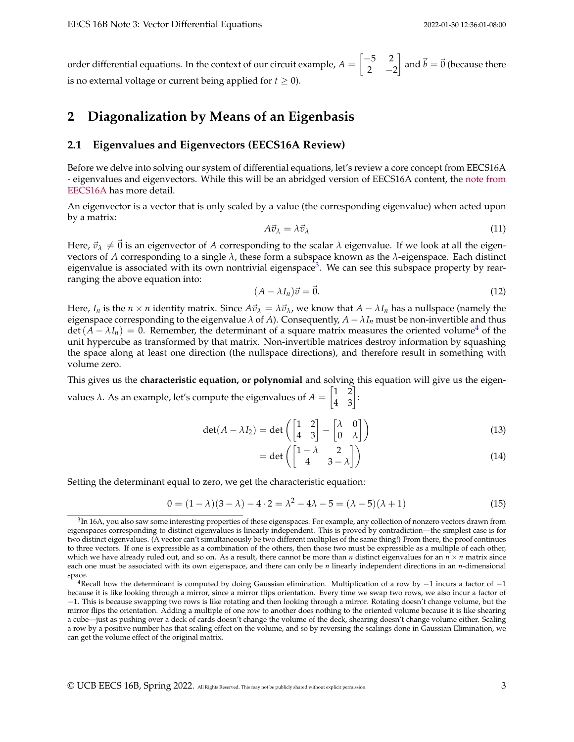order differential equations. In the context of our circuit example,  $A = \begin{bmatrix} -5 & 2 \ 2 & 2 \end{bmatrix}$ 2  $-2$  $\begin{bmatrix} \end{bmatrix}$  and  $\vec{b} = \vec{0}$  (because there is no external voltage or current being applied for  $t \geq 0$ ).

# **2 Diagonalization by Means of an Eigenbasis**

#### **2.1 Eigenvalues and Eigenvectors (EECS16A Review)**

Before we delve into solving our system of differential equations, let's review a core concept from EECS16A - eigenvalues and eigenvectors. While this will be an abridged version of EECS16A content, the [note from](https://inst.eecs.berkeley.edu/~eecs16a/fa20/lecture/Note9.pdf) [EECS16A](https://inst.eecs.berkeley.edu/~eecs16a/fa20/lecture/Note9.pdf) has more detail.

An eigenvector is a vector that is only scaled by a value (the corresponding eigenvalue) when acted upon by a matrix:

$$
A\vec{v}_{\lambda} = \lambda \vec{v}_{\lambda} \tag{11}
$$

Here,  $\vec{v}_{\lambda} \neq \vec{0}$  is an eigenvector of *A* corresponding to the scalar  $\lambda$  eigenvalue. If we look at all the eigenvectors of *A* corresponding to a single *λ*, these form a subspace known as the *λ*-eigenspace. Each distinct eigenvalue is associated with its own nontrivial eigenspace<sup>[3](#page-2-0)</sup>. We can see this subspace property by rearranging the above equation into:

$$
(A - \lambda I_n)\vec{v} = \vec{0}.\tag{12}
$$

Here, *I<sub>n</sub>* is the  $n \times n$  identity matrix. Since  $A\vec{v}_\lambda = \lambda \vec{v}_\lambda$ , we know that  $A - \lambda I_n$  has a nullspace (namely the eigenspace corresponding to the eigenvalue  $\lambda$  of  $A$ ). Consequently,  $A - \lambda I_n$  must be non-invertible and thus  $\det(A - \lambda I_n) = 0$ . Remember, the determinant of a square matrix measures the oriented volume<sup>[4](#page-2-1)</sup> of the unit hypercube as transformed by that matrix. Non-invertible matrices destroy information by squashing the space along at least one direction (the nullspace directions), and therefore result in something with volume zero.

This gives us the **characteristic equation, or polynomial** and solving this equation will give us the eigenvalues  $\lambda$ . As an example, let's compute the eigenvalues of  $A = \begin{bmatrix} 1 & 2 \\ 4 & 3 \end{bmatrix}$ :

$$
\det(A - \lambda I_2) = \det\left(\begin{bmatrix} 1 & 2 \\ 4 & 3 \end{bmatrix} - \begin{bmatrix} \lambda & 0 \\ 0 & \lambda \end{bmatrix}\right)
$$
(13)

$$
= \det \left( \begin{bmatrix} 1 - \lambda & 2 \\ 4 & 3 - \lambda \end{bmatrix} \right) \tag{14}
$$

Setting the determinant equal to zero, we get the characteristic equation:

<span id="page-2-2"></span>
$$
0 = (1 - \lambda)(3 - \lambda) - 4 \cdot 2 = \lambda^2 - 4\lambda - 5 = (\lambda - 5)(\lambda + 1)
$$
\n(15)

<span id="page-2-0"></span><sup>&</sup>lt;sup>3</sup>In 16A, you also saw some interesting properties of these eigenspaces. For example, any collection of nonzero vectors drawn from eigenspaces corresponding to distinct eigenvalues is linearly independent. This is proved by contradiction—the simplest case is for two distinct eigenvalues. (A vector can't simultaneously be two different multiples of the same thing!) From there, the proof continues to three vectors. If one is expressible as a combination of the others, then those two must be expressible as a multiple of each other, which we have already ruled out, and so on. As a result, there cannot be more than *n* distinct eigenvalues for an  $n \times n$  matrix since each one must be associated with its own eigenspace, and there can only be *n* linearly independent directions in an *n*-dimensional space.

<span id="page-2-1"></span><sup>&</sup>lt;sup>4</sup>Recall how the determinant is computed by doing Gaussian elimination. Multiplication of a row by  $-1$  incurs a factor of  $-1$ because it is like looking through a mirror, since a mirror flips orientation. Every time we swap two rows, we also incur a factor of −1. This is because swapping two rows is like rotating and then looking through a mirror. Rotating doesn't change volume, but the mirror flips the orientation. Adding a multiple of one row to another does nothing to the oriented volume because it is like shearing a cube—just as pushing over a deck of cards doesn't change the volume of the deck, shearing doesn't change volume either. Scaling a row by a positive number has that scaling effect on the volume, and so by reversing the scalings done in Gaussian Elimination, we can get the volume effect of the original matrix.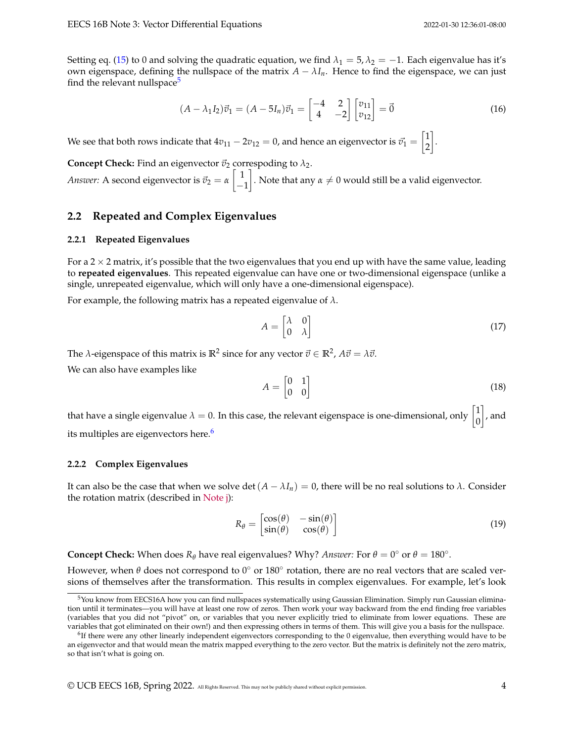Setting eq. [\(15\)](#page-2-2) to 0 and solving the quadratic equation, we find  $\lambda_1 = 5$ ,  $\lambda_2 = -1$ . Each eigenvalue has it's own eigenspace, defining the nullspace of the matrix  $A - \lambda I_n$ . Hence to find the eigenspace, we can just find the relevant nullspace<sup>[5](#page-3-0)</sup>

$$
(A - \lambda_1 I_2)\vec{v}_1 = (A - 5I_n)\vec{v}_1 = \begin{bmatrix} -4 & 2\\ 4 & -2 \end{bmatrix} \begin{bmatrix} v_{11} \\ v_{12} \end{bmatrix} = \vec{0}
$$
 (16)

We see that both rows indicate that  $4v_{11}-2v_{12}=0$ , and hence an eigenvector is  $\vec{v_1} = \begin{bmatrix} 1 \ 2 \end{bmatrix}$ 2 .

**Concept Check:** Find an eigenvector  $\vec{v}_2$  correspoding to  $\lambda_2$ . *Answer:* A second eigenvector is  $\vec{v}_2 = \alpha \left[ \begin{array}{c} 1 \end{array} \right]$ −1  $\Big].$  Note that any  $\alpha\neq 0$  would still be a valid eigenvector.

### **2.2 Repeated and Complex Eigenvalues**

#### **2.2.1 Repeated Eigenvalues**

For a  $2 \times 2$  matrix, it's possible that the two eigenvalues that you end up with have the same value, leading to **repeated eigenvalues**. This repeated eigenvalue can have one or two-dimensional eigenspace (unlike a single, unrepeated eigenvalue, which will only have a one-dimensional eigenspace).

For example, the following matrix has a repeated eigenvalue of *λ*.

$$
A = \begin{bmatrix} \lambda & 0 \\ 0 & \lambda \end{bmatrix} \tag{17}
$$

The  $\lambda$ -eigenspace of this matrix is  $\mathbb{R}^2$  since for any vector  $\vec{v} \in \mathbb{R}^2$ ,  $A\vec{v} = \lambda \vec{v}$ .

We can also have examples like

$$
A = \begin{bmatrix} 0 & 1 \\ 0 & 0 \end{bmatrix} \tag{18}
$$

that have a single eigenvalue  $\lambda = 0$ . In this case, the relevant eigenspace is one-dimensional, only  $\begin{bmatrix} 1 \ 0 \end{bmatrix}$  $\theta$  $\big]$ , and its multiples are eigenvectors here.<sup>[6](#page-3-1)</sup>

#### **2.2.2 Complex Eigenvalues**

It can also be the case that when we solve det  $(A - \lambda I_n) = 0$ , there will be no real solutions to  $\lambda$ . Consider the rotation matrix (described in [Note j\)](https://eecs16b.org/notes/sp22/notej.pdf):

$$
R_{\theta} = \begin{bmatrix} \cos(\theta) & -\sin(\theta) \\ \sin(\theta) & \cos(\theta) \end{bmatrix}
$$
 (19)

**Concept Check:** When does  $R_{\theta}$  have real eigenvalues? Why? *Answer*: For  $\theta = 0^{\circ}$  or  $\theta = 180^{\circ}$ .

However, when  $\theta$  does not correspond to 0 $^{\circ}$  or 180 $^{\circ}$  rotation, there are no real vectors that are scaled versions of themselves after the transformation. This results in complex eigenvalues. For example, let's look

<span id="page-3-0"></span> $5$ You know from EECS16A how you can find nullspaces systematically using Gaussian Elimination. Simply run Gaussian elimination until it terminates—you will have at least one row of zeros. Then work your way backward from the end finding free variables (variables that you did not "pivot" on, or variables that you never explicitly tried to eliminate from lower equations. These are variables that got eliminated on their own!) and then expressing others in terms of them. This will give you a basis for the nullspace.

<span id="page-3-1"></span><sup>&</sup>lt;sup>6</sup>If there were any other linearly independent eigenvectors corresponding to the 0 eigenvalue, then everything would have to be an eigenvector and that would mean the matrix mapped everything to the zero vector. But the matrix is definitely not the zero matrix, so that isn't what is going on.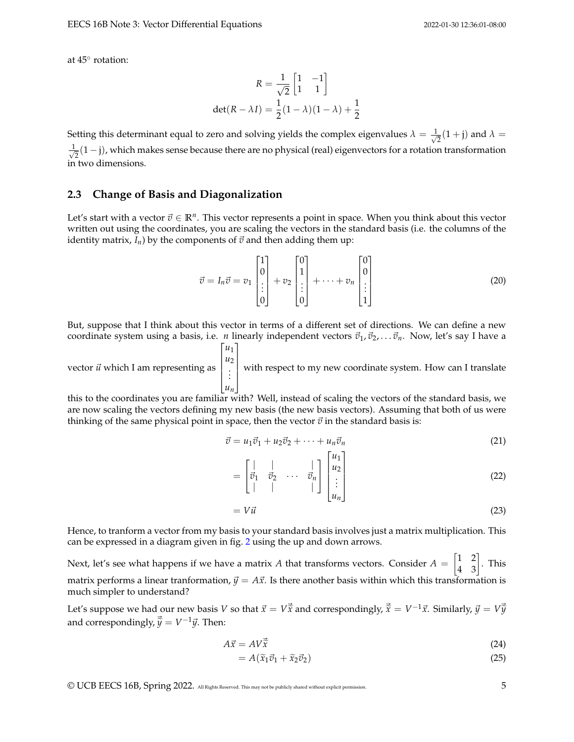at 45◦ rotation:

$$
R = \frac{1}{\sqrt{2}} \begin{bmatrix} 1 & -1 \\ 1 & 1 \end{bmatrix}
$$

$$
det(R - \lambda I) = \frac{1}{2}(1 - \lambda)(1 - \lambda) + \frac{1}{2}
$$

Setting this determinant equal to zero and solving yields the complex eigenvalues  $\lambda = \frac{1}{\sqrt{2}}$  $\frac{1}{2}(1 + \mathbf{j})$  and  $\lambda =$ √ 1  $\frac{1}{2}(1-j)$ , which makes sense because there are no physical (real) eigenvectors for a rotation transformation in two dimensions.

#### **2.3 Change of Basis and Diagonalization**

Let's start with a vector  $\vec{v} \in \mathbb{R}^n$ . This vector represents a point in space. When you think about this vector written out using the coordinates, you are scaling the vectors in the standard basis (i.e. the columns of the identity matrix,  $I_n$ ) by the components of  $\vec{v}$  and then adding them up:

$$
\vec{v} = I_n \vec{v} = v_1 \begin{bmatrix} 1 \\ 0 \\ \vdots \\ 0 \end{bmatrix} + v_2 \begin{bmatrix} 0 \\ 1 \\ \vdots \\ 0 \end{bmatrix} + \dots + v_n \begin{bmatrix} 0 \\ 0 \\ \vdots \\ 1 \end{bmatrix}
$$
 (20)

But, suppose that I think about this vector in terms of a different set of directions. We can define a new coordinate system using a basis, i.e. *n* linearly independent vectors  $\vec{v}_1, \vec{v}_2, \ldots, \vec{v}_n$ . Now, let's say I have a

vector  $\vec{u}$  which I am representing as  $\lceil$  *u*1 *u*2 . . . *un* 1 with respect to my new coordinate system. How can I translate

this to the coordinates you are familiar with? Well, instead of scaling the vectors of the standard basis, we are now scaling the vectors defining my new basis (the new basis vectors). Assuming that both of us were thinking of the same physical point in space, then the vector  $\vec{v}$  in the standard basis is:

$$
\vec{v} = u_1 \vec{v}_1 + u_2 \vec{v}_2 + \dots + u_n \vec{v}_n \tag{21}
$$

=  $\lceil$  $\overline{1}$ | | |  $\vec{v}_1$   $\vec{v}_2$   $\cdots$   $\vec{v}_n$ | | | 1  $\overline{1}$  $\lceil$  *u*1 *u*2 . . . *un* 1 (22)

 $= V\vec{u}$  (23)

Hence, to tranform a vector from my basis to your standard basis involves just a matrix multiplication. This can be expressed in a diagram given in fig. [2](#page-5-0) using the up and down arrows.

Next, let's see what happens if we have a matrix *A* that transforms vectors. Consider  $A = \begin{bmatrix} 1 & 2 \ 4 & 3 \end{bmatrix}$ . This matrix performs a linear tranformation,  $\vec{y} = A\vec{x}$ . Is there another basis within which this transformation is much simpler to understand?

Let's suppose we had our new basis *V* so that  $\vec{x} = V\vec{x}$  and correspondingly,  $\vec{\tilde{x}} = V^{-1}\vec{x}$ . Similarly,  $\vec{y} = V\vec{y}$ and correspondingly,  $\vec{\tilde{y}} = V^{-1}\vec{y}$ . Then:

$$
A\vec{x} = AV\vec{x}
$$
 (24)

$$
=A(\widetilde{x}_1\vec{v}_1+\widetilde{x}_2\vec{v}_2)\tag{25}
$$

© UCB EECS 16B, Spring 2022. All Rights Reserved. This may not be publicly shared without explicit permission. 5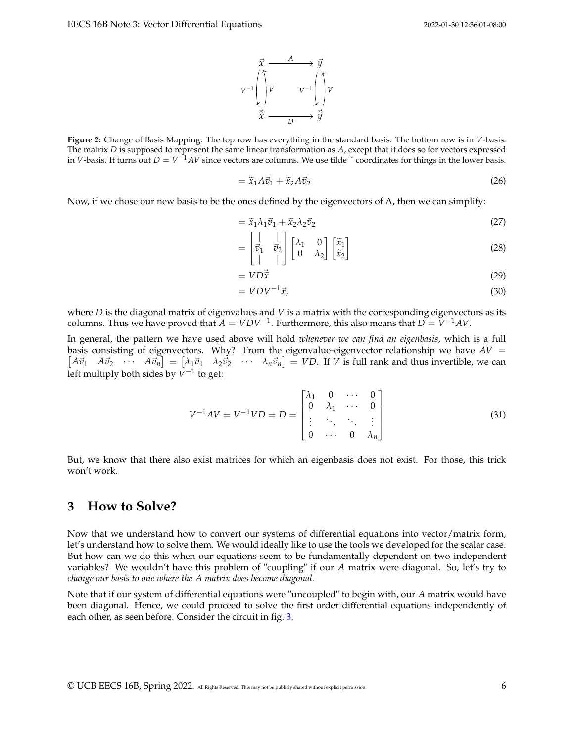

<span id="page-5-0"></span>**Figure 2:** Change of Basis Mapping. The top row has everything in the standard basis. The bottom row is in *V*-basis. The matrix *D* is supposed to represent the same linear transformation as *A*, except that it does so for vectors expressed in *V*-basis. It turns out  $D = V^{-1}AV$  since vectors are columns. We use tilde  $\sim$  coordinates for things in the lower basis.

$$
= \widetilde{x}_1 A \vec{v}_1 + \widetilde{x}_2 A \vec{v}_2 \tag{26}
$$

Now, if we chose our new basis to be the ones defined by the eigenvectors of A, then we can simplify:

$$
= \tilde{x}_1 \lambda_1 \vec{v}_1 + \tilde{x}_2 \lambda_2 \vec{v}_2 \tag{27}
$$

$$
= \begin{bmatrix} | & | \\ \vec{v}_1 & \vec{v}_2 \\ | & | \end{bmatrix} \begin{bmatrix} \lambda_1 & 0 \\ 0 & \lambda_2 \end{bmatrix} \begin{bmatrix} \widetilde{x}_1 \\ \widetilde{x}_2 \end{bmatrix}
$$
 (28)

$$
= V D \vec{\tilde{x}} \tag{29}
$$

$$
= VDV^{-1}\vec{x},\tag{30}
$$

where *D* is the diagonal matrix of eigenvalues and *V* is a matrix with the corresponding eigenvectors as its columns. Thus we have proved that  $A = VDV^{-1}$ . Furthermore, this also means that  $D = V^{-1}AV$ .

In general, the pattern we have used above will hold *whenever we can find an eigenbasis*, which is a full basis consisting of eigenvectors. Why? From the eigenvalue-eigenvector relationship we have  $AV =$  $\begin{bmatrix} A\vec{v}_1 & A\vec{v}_2 & \cdots & A\vec{v}_n \end{bmatrix} = \begin{bmatrix} \lambda_1\vec{v}_1 & \lambda_2\vec{v}_2 & \cdots & \lambda_n\vec{v}_n \end{bmatrix} = VD$ . If V is full rank and thus invertible, we can left multiply both sides by *V*<sup>−1</sup> to get:

$$
V^{-1}AV = V^{-1}VD = D = \begin{bmatrix} \lambda_1 & 0 & \cdots & 0 \\ 0 & \lambda_1 & \cdots & 0 \\ \vdots & \ddots & \ddots & \vdots \\ 0 & \cdots & 0 & \lambda_n \end{bmatrix}
$$
(31)

But, we know that there also exist matrices for which an eigenbasis does not exist. For those, this trick won't work.

## **3 How to Solve?**

Now that we understand how to convert our systems of differential equations into vector/matrix form, let's understand how to solve them. We would ideally like to use the tools we developed for the scalar case. But how can we do this when our equations seem to be fundamentally dependent on two independent variables? We wouldn't have this problem of "coupling" if our *A* matrix were diagonal. So, let's try to *change our basis to one where the A matrix does become diagonal.*

Note that if our system of differential equations were "uncoupled" to begin with, our *A* matrix would have been diagonal. Hence, we could proceed to solve the first order differential equations independently of each other, as seen before. Consider the circuit in fig. [3.](#page-6-0)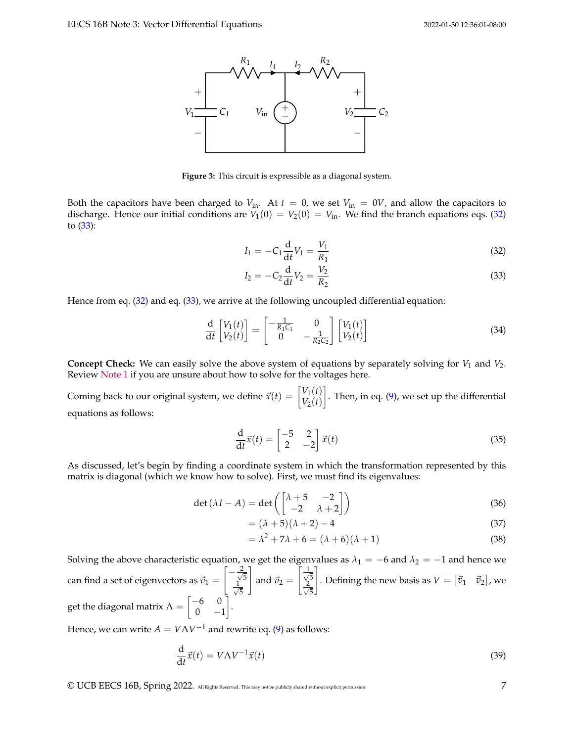<span id="page-6-0"></span>

**Figure 3:** This circuit is expressible as a diagonal system.

Both the capacitors have been charged to  $V_{\text{in}}$ . At  $t = 0$ , we set  $V_{\text{in}} = 0V$ , and allow the capacitors to discharge. Hence our initial conditions are  $V_1(0) = V_2(0) = V_{\text{in}}$ . We find the branch equations eqs. [\(32\)](#page-6-1) to [\(33\)](#page-6-2):

<span id="page-6-1"></span>
$$
I_1 = -C_1 \frac{d}{dt} V_1 = \frac{V_1}{R_1}
$$
 (32)

<span id="page-6-2"></span>
$$
I_2 = -C_2 \frac{d}{dt} V_2 = \frac{V_2}{R_2}
$$
 (33)

Hence from eq. [\(32\)](#page-6-1) and eq. [\(33\)](#page-6-2), we arrive at the following uncoupled differential equation:

$$
\frac{\mathrm{d}}{\mathrm{d}t} \begin{bmatrix} V_1(t) \\ V_2(t) \end{bmatrix} = \begin{bmatrix} -\frac{1}{R_1 C_1} & 0 \\ 0 & -\frac{1}{R_2 C_2} \end{bmatrix} \begin{bmatrix} V_1(t) \\ V_2(t) \end{bmatrix}
$$
(34)

**Concept Check:** We can easily solve the above system of equations by separately solving for  $V_1$  and  $V_2$ . Review [Note 1](https://eecs16b.org/notes/sp22/note01.pdf) if you are unsure about how to solve for the voltages here.

Coming back to our original system, we define  $\vec{x}(t) = \begin{bmatrix} V_1(t) \\ V_2(t) \end{bmatrix}$  $V_2(t)$  . Then, in eq. [\(9\)](#page-1-4), we set up the differential equations as follows:

$$
\frac{\mathrm{d}}{\mathrm{d}t}\vec{x}(t) = \begin{bmatrix} -5 & 2\\ 2 & -2 \end{bmatrix}\vec{x}(t) \tag{35}
$$

As discussed, let's begin by finding a coordinate system in which the transformation represented by this matrix is diagonal (which we know how to solve). First, we must find its eigenvalues:

$$
\det(\lambda I - A) = \det\left(\begin{bmatrix} \lambda + 5 & -2 \\ -2 & \lambda + 2 \end{bmatrix}\right)
$$
 (36)

$$
= (\lambda + 5)(\lambda + 2) - 4 \tag{37}
$$

<span id="page-6-3"></span>
$$
= \lambda^2 + 7\lambda + 6 = (\lambda + 6)(\lambda + 1)
$$
\n(38)

Solving the above characteristic equation, we get the eigenvalues as  $\lambda_1 = -6$  and  $\lambda_2 = -1$  and hence we can find a set of eigenvectors as  $\vec{v}_1 =$  $\left[ -\frac{2}{\sqrt{2}} \right]$ 5  $\frac{1}{\sqrt{2}}$ 5 1 and  $\vec{v}_2 =$  $\lceil \frac{1}{2} \rceil$ 5 √ 2 5 1 . Defining the new basis as  $V = \begin{bmatrix} \vec{v}_1 & \vec{v}_2 \end{bmatrix}$ , we get the diagonal matrix  $\Lambda = \begin{bmatrix} -6 & 0 \ 0 & 0 \end{bmatrix}$  $0 -1$ 1 .

Hence, we can write  $A = V \Lambda V^{-1}$  and rewrite eq. [\(9\)](#page-1-4) as follows:

$$
\frac{\mathrm{d}}{\mathrm{d}t}\vec{x}(t) = V\Lambda V^{-1}\vec{x}(t) \tag{39}
$$

© UCB EECS 16B, Spring 2022. All Rights Reserved. This may not be publicly shared without explicit permission. 7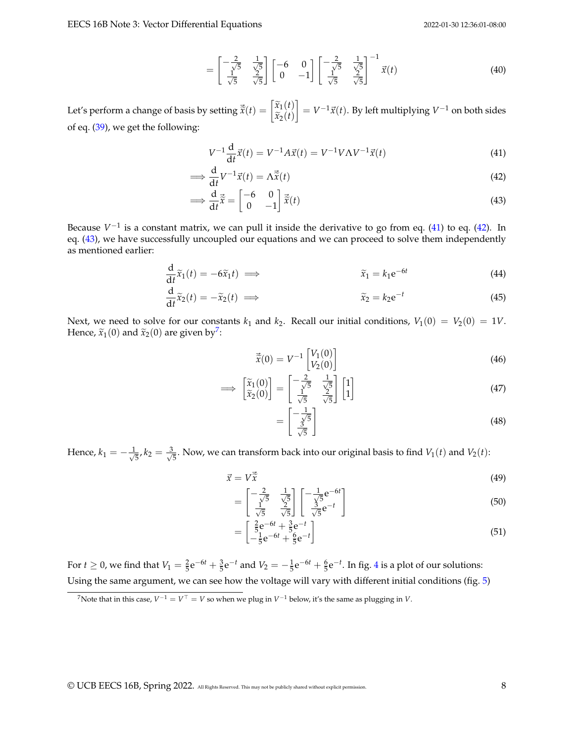$$
= \begin{bmatrix} -\frac{2}{\sqrt{5}} & \frac{1}{\sqrt{5}} \\ \frac{1}{\sqrt{5}} & \frac{2}{\sqrt{5}} \end{bmatrix} \begin{bmatrix} -6 & 0 \\ 0 & -1 \end{bmatrix} \begin{bmatrix} -\frac{2}{\sqrt{5}} & \frac{1}{\sqrt{5}} \\ \frac{1}{\sqrt{5}} & \frac{2}{\sqrt{5}} \end{bmatrix}^{-1} \vec{x}(t) \tag{40}
$$

Let's perform a change of basis by setting  $\vec{\tilde{x}}(t) = \begin{bmatrix} \widetilde{x}_1(t) \ \widetilde{x}_2(t) \end{bmatrix}$  $\widetilde{x}_2(t)$  $\Big] = V^{-1} \vec{x}(t)$ . By left multiplying  $V^{-1}$  on both sides of eq. [\(39\)](#page-6-3), we get the following:

<span id="page-7-1"></span><span id="page-7-0"></span>
$$
V^{-1}\frac{d}{dt}\vec{x}(t) = V^{-1}A\vec{x}(t) = V^{-1}V\Lambda V^{-1}\vec{x}(t)
$$
\n(41)

$$
\implies \frac{\mathrm{d}}{\mathrm{d}t}V^{-1}\vec{x}(t) = \Lambda \vec{\tilde{x}}(t) \tag{42}
$$

$$
\implies \frac{\mathrm{d}}{\mathrm{d}t}\vec{\tilde{x}} = \begin{bmatrix} -6 & 0\\ 0 & -1 \end{bmatrix} \vec{\tilde{x}}(t) \tag{43}
$$

Because  $V^{-1}$  is a constant matrix, we can pull it inside the derivative to go from eq. [\(41\)](#page-7-0) to eq. [\(42\)](#page-7-1). In eq. [\(43\)](#page-7-2), we have successfully uncoupled our equations and we can proceed to solve them independently as mentioned earlier:

$$
\frac{\mathrm{d}}{\mathrm{d}t}\widetilde{x}_1(t) = -6\widetilde{x}_1t \implies \widetilde{x}_1 = k_1 e^{-6t} \tag{44}
$$

$$
\frac{\mathrm{d}}{\mathrm{d}t}\tilde{x}_2(t) = -\tilde{x}_2(t) \implies \tilde{x}_2 = k_2 e^{-t} \tag{45}
$$

Next, we need to solve for our constants  $k_1$  and  $k_2$ . Recall our initial conditions,  $V_1(0) = V_2(0) = 1V$ . Hence,  $\widetilde{x}_1(0)$  and  $\widetilde{x}_2(0)$  are given by<sup>[7](#page-7-3)</sup>:

<span id="page-7-2"></span>
$$
\vec{\tilde{x}}(0) = V^{-1} \begin{bmatrix} V_1(0) \\ V_2(0) \end{bmatrix}
$$
 (46)

$$
\implies \begin{bmatrix} \widetilde{x}_1(0) \\ \widetilde{x}_2(0) \end{bmatrix} = \begin{bmatrix} -\frac{2}{\sqrt{5}} & \frac{1}{\sqrt{5}} \\ \frac{1}{\sqrt{5}} & \frac{2}{\sqrt{5}} \end{bmatrix} \begin{bmatrix} 1 \\ 1 \end{bmatrix}
$$
(47)

$$
= \left[\frac{-\frac{1}{\sqrt{5}}}{\frac{3}{\sqrt{5}}}\right]
$$
(48)

Hence,  $k_1 = -\frac{1}{\sqrt{2}}$  $\frac{3}{5}$ ,  $k_2 = \frac{3}{\sqrt{25}}$  $\frac{1}{5}$ . Now, we can transform back into our original basis to find  $V_1(t)$  and  $V_2(t)$ :

$$
\vec{x} = V\vec{\tilde{x}}\tag{49}
$$
\n
$$
\begin{bmatrix}\n\frac{2}{\sqrt{5}} & \frac{1}{\sqrt{5}} \\
\frac{1}{\sqrt{5}} & \frac{1}{\sqrt{5}}\n\end{bmatrix}\n\begin{bmatrix}\n\frac{1}{\sqrt{5}} & \frac{1}{\sqrt{5}} \\
\frac{1}{\sqrt{5}} & \frac{1}{\sqrt{5}}\n\end{bmatrix}\n\begin{bmatrix}\n\frac{1}{\sqrt{5}} & \frac{1}{\sqrt{5}} \\
\frac{1}{\sqrt{5}} & \frac{1}{\sqrt{5}}\n\end{bmatrix}\n\begin{bmatrix}\n\frac{1}{\sqrt{5}} & \frac{1}{\sqrt{5}} \\
\frac{1}{\sqrt{5}} & \frac{1}{\sqrt{5}}\n\end{bmatrix}\n\begin{bmatrix}\n\frac{1}{\sqrt{5}} & \frac{1}{\sqrt{5}} \\
\frac{1}{\sqrt{5}} & \frac{1}{\sqrt{5}}\n\end{bmatrix}\n\begin{bmatrix}\n\frac{1}{\sqrt{5}} & \frac{1}{\sqrt{5}} \\
\frac{1}{\sqrt{5}} & \frac{1}{\sqrt{5}}\n\end{bmatrix}\n\begin{bmatrix}\n\frac{1}{\sqrt{5}} & \frac{1}{\sqrt{5}} \\
\frac{1}{\sqrt{5}} & \frac{1}{\sqrt{5}}\n\end{bmatrix}\n\begin{bmatrix}\n\frac{1}{\sqrt{5}} & \frac{1}{\sqrt{5}} \\
\frac{1}{\sqrt{5}} & \frac{1}{\sqrt{5}}\n\end{bmatrix}\n\begin{bmatrix}\n\frac{1}{\sqrt{5}} & \frac{1}{\sqrt{5}} \\
\frac{1}{\sqrt{5}} & \frac{1}{\sqrt{5}}\n\end{bmatrix}\n\begin{bmatrix}\n\frac{1}{\sqrt{5}} & \frac{1}{\sqrt{5}} \\
\frac{1}{\sqrt{5}} & \frac{1}{\sqrt{5}}\n\end{bmatrix}\n\begin{bmatrix}\n\frac{1}{\sqrt{5}} & \frac{1}{\sqrt{5}} \\
\frac{1}{\sqrt{5}} & \frac{1}{\sqrt{5}}\n\end{bmatrix}\n\begin{bmatrix}\n\frac{1}{\sqrt{5}} & \frac{1}{\sqrt{5}} \\
\frac{1}{\sqrt{5}} & \frac{1}{\sqrt{5}}\n\end{bmatrix}\n\begin{bmatrix}\n\frac{1}{\sqrt{5}} & \frac{1}{\sqrt
$$

$$
= \begin{bmatrix} -\frac{2}{\sqrt{5}} & \frac{1}{\sqrt{5}} \\ \frac{1}{\sqrt{5}} & \frac{2}{\sqrt{5}} \end{bmatrix} \begin{bmatrix} -\frac{1}{\sqrt{5}}e^{-6t} \\ \frac{3}{\sqrt{5}}e^{-t} \end{bmatrix} \tag{50}
$$

$$
= \begin{bmatrix} \frac{2}{5}e^{-6t} + \frac{3}{5}e^{-t} \\ -\frac{1}{5}e^{-6t} + \frac{6}{5}e^{-t} \end{bmatrix}
$$
(51)

For  $t \ge 0$ , we find that  $V_1 = \frac{2}{5}e^{-6t} + \frac{3}{5}e^{-t}$  and  $V_2 = -\frac{1}{5}e^{-6t} + \frac{6}{5}e^{-t}$ . In fig. [4](#page-8-0) is a plot of our solutions: Using the same argument, we can see how the voltage will vary with different initial conditions (fig. [5\)](#page-8-1)

<span id="page-7-3"></span> $^7$ Note that in this case,  $V^{-1} = V^\top = V$  so when we plug in  $V^{-1}$  below, it's the same as plugging in  $V$ .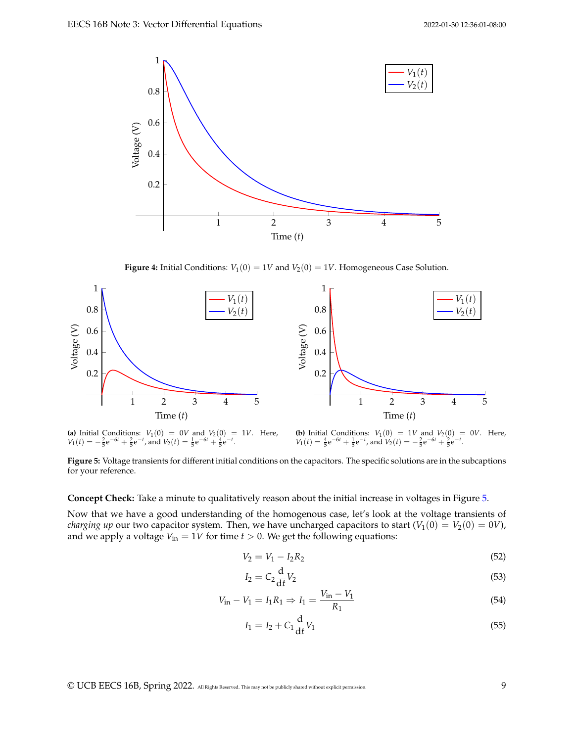<span id="page-8-0"></span>

**Figure 4:** Initial Conditions:  $V_1(0) = 1V$  and  $V_2(0) = 1V$ . Homogeneous Case Solution.

<span id="page-8-1"></span>

(a) Initial Conditions:  $V_1(0) = 0V$  and  $V_2(0) = 1V$ . Here,  $V_1(t) = -\frac{2}{5}e^{-6t} + \frac{2}{5}e^{-t}$ , and  $V_2(t) = \frac{1}{5}e^{-6t} + \frac{4}{5}e^{-t}$ .

**(b)** Initial Conditions:  $V_1(0) = 1V$  and  $V_2(0) = 0V$ . Here,  $V_1(t) = \frac{4}{5}e^{-6t} + \frac{1}{5}e^{-t}$ , and  $V_2(t) = -\frac{2}{5}e^{-6t} + \frac{2}{5}e^{-t}$ .

**Figure 5:** Voltage transients for different initial conditions on the capacitors. The specific solutions are in the subcaptions for your reference.

**Concept Check:** Take a minute to qualitatively reason about the initial increase in voltages in Figure [5.](#page-8-1)

Now that we have a good understanding of the homogenous case, let's look at the voltage transients of *charging up* our two capacitor system. Then, we have uncharged capacitors to start  $(V_1(0) = V_2(0) = 0V)$ , and we apply a voltage  $V_{\text{in}} = 1V$  for time  $t > 0$ . We get the following equations:

$$
V_2 = V_1 - I_2 R_2 \tag{52}
$$

$$
I_2 = C_2 \frac{\mathrm{d}}{\mathrm{d}t} V_2 \tag{53}
$$

$$
V_{\rm in} - V_1 = I_1 R_1 \Rightarrow I_1 = \frac{V_{\rm in} - V_1}{R_1}
$$
\n(54)

$$
I_1 = I_2 + C_1 \frac{d}{dt} V_1 \tag{55}
$$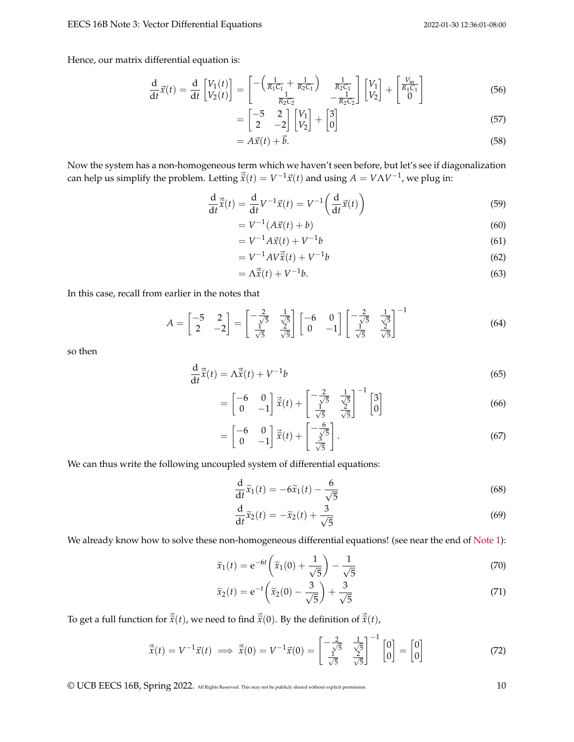Hence, our matrix differential equation is:

$$
\frac{\mathrm{d}}{\mathrm{d}t}\vec{x}(t) = \frac{\mathrm{d}}{\mathrm{d}t}\begin{bmatrix} V_1(t) \\ V_2(t) \end{bmatrix} = \begin{bmatrix} -\left(\frac{1}{R_1C_1} + \frac{1}{R_2C_1}\right) & \frac{1}{R_2C_1} \\ \frac{1}{R_2C_2} & -\frac{1}{R_2C_2} \end{bmatrix} \begin{bmatrix} V_1 \\ V_2 \end{bmatrix} + \begin{bmatrix} \frac{V_{\text{in}}}{R_1C_1} \\ 0 \end{bmatrix}
$$
(56)

$$
= \begin{bmatrix} -5 & 2 \\ 2 & -2 \end{bmatrix} \begin{bmatrix} V_1 \\ V_2 \end{bmatrix} + \begin{bmatrix} 3 \\ 0 \end{bmatrix}
$$
 (57)

$$
= A\vec{x}(t) + \vec{b}.\tag{58}
$$

Now the system has a non-homogeneous term which we haven't seen before, but let's see if diagonalization can help us simplify the problem. Letting  $\vec{\tilde{x}}(t) = V^{-1}\vec{x}(t)$  and using  $A = V\Lambda V^{-1}$ , we plug in:

$$
\frac{\mathrm{d}}{\mathrm{d}t}\vec{\tilde{x}}(t) = \frac{\mathrm{d}}{\mathrm{d}t}V^{-1}\vec{x}(t) = V^{-1}\left(\frac{\mathrm{d}}{\mathrm{d}t}\vec{x}(t)\right)
$$
\n(59)

$$
= V^{-1}(A\vec{x}(t) + b)
$$
 (60)

$$
= V^{-1}A\vec{x}(t) + V^{-1}b \tag{61}
$$

$$
= V^{-1}AV\vec{x}(t) + V^{-1}b
$$
\n(62)

$$
= \Lambda \vec{\tilde{x}}(t) + V^{-1}b. \tag{63}
$$

In this case, recall from earlier in the notes that

$$
A = \begin{bmatrix} -5 & 2 \\ 2 & -2 \end{bmatrix} = \begin{bmatrix} -\frac{2}{\sqrt{5}} & \frac{1}{\sqrt{5}} \\ \frac{1}{\sqrt{5}} & \frac{2}{\sqrt{5}} \end{bmatrix} \begin{bmatrix} -6 & 0 \\ 0 & -1 \end{bmatrix} \begin{bmatrix} -\frac{2}{\sqrt{5}} & \frac{1}{\sqrt{5}} \\ \frac{1}{\sqrt{5}} & \frac{2}{\sqrt{5}} \end{bmatrix}^{-1}
$$
(64)

so then

$$
\frac{\mathrm{d}}{\mathrm{d}t}\vec{\tilde{x}}(t) = \Lambda \vec{\tilde{x}}(t) + V^{-1}b
$$
\n(65)

$$
= \begin{bmatrix} -6 & 0 \\ 0 & -1 \end{bmatrix} \vec{x}(t) + \begin{bmatrix} -\frac{2}{\sqrt{5}} & \frac{1}{\sqrt{5}} \\ \frac{1}{\sqrt{5}} & \frac{2}{\sqrt{5}} \end{bmatrix}^{-1} \begin{bmatrix} 3 \\ 0 \end{bmatrix}
$$
 (66)

$$
= \begin{bmatrix} -6 & 0\\ 0 & -1 \end{bmatrix} \vec{x}(t) + \begin{bmatrix} -\frac{6}{\sqrt{5}}\\ \frac{3}{\sqrt{5}} \end{bmatrix}.
$$
 (67)

We can thus write the following uncoupled system of differential equations:

$$
\frac{\mathrm{d}}{\mathrm{d}t}\tilde{x}_1(t) = -6\tilde{x}_1(t) - \frac{6}{\sqrt{5}}\tag{68}
$$

$$
\frac{\mathrm{d}}{\mathrm{d}t}\widetilde{x}_2(t) = -\widetilde{x}_2(t) + \frac{3}{\sqrt{5}}\tag{69}
$$

We already know how to solve these non-homogeneous differential equations! (see near the end of [Note 1\)](https://eecs16b.org/notes/sp22/note01.pdf):

$$
\widetilde{x}_1(t) = e^{-6t} \left( \widetilde{x}_1(0) + \frac{1}{\sqrt{5}} \right) - \frac{1}{\sqrt{5}} \tag{70}
$$

$$
\widetilde{x}_2(t) = e^{-t} \left( \widetilde{x}_2(0) - \frac{3}{\sqrt{5}} \right) + \frac{3}{\sqrt{5}} \tag{71}
$$

To get a full function for  $\vec{\tilde{x}}(t)$ , we need to find  $\vec{\tilde{x}}(0)$ . By the definition of  $\vec{\tilde{x}}(t)$ ,

$$
\vec{\tilde{x}}(t) = V^{-1}\vec{x}(t) \implies \vec{\tilde{x}}(0) = V^{-1}\vec{x}(0) = \begin{bmatrix} -\frac{2}{\sqrt{5}} & \frac{1}{\sqrt{5}} \\ \frac{1}{\sqrt{5}} & \frac{2}{\sqrt{5}} \end{bmatrix}^{-1} \begin{bmatrix} 0 \\ 0 \end{bmatrix} = \begin{bmatrix} 0 \\ 0 \end{bmatrix}
$$
(72)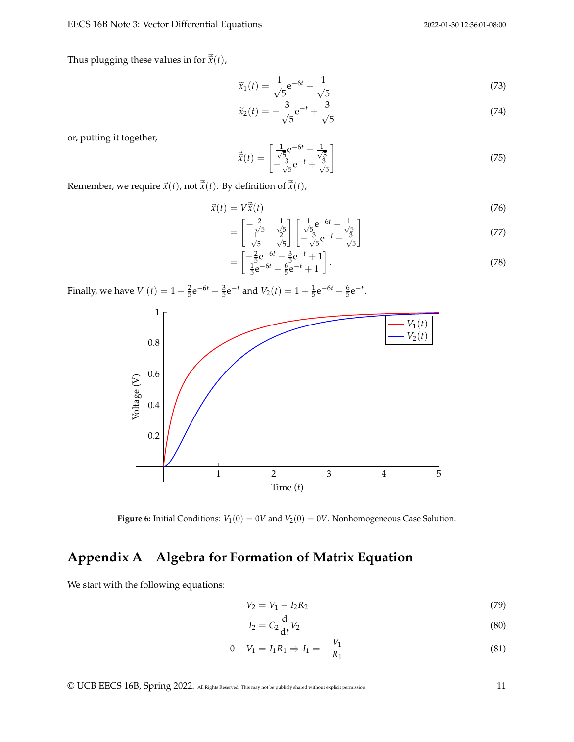#### EECS 16B Note 3: Vector Differential Equations 2022-01-30 12:36:01-08:00

Thus plugging these values in for  $\vec{\tilde{x}}(t)$ ,

$$
\widetilde{x}_1(t) = \frac{1}{\sqrt{5}} e^{-6t} - \frac{1}{\sqrt{5}}
$$
\n(73)

$$
\widetilde{x}_2(t) = -\frac{3}{\sqrt{5}}e^{-t} + \frac{3}{\sqrt{5}}
$$
\n(74)

or, putting it together,

$$
\vec{\tilde{x}}(t) = \begin{bmatrix} \frac{1}{\sqrt{5}} e^{-6t} - \frac{1}{\sqrt{5}} \\ -\frac{3}{\sqrt{5}} e^{-t} + \frac{3}{\sqrt{5}} \end{bmatrix}
$$
(75)

Remember, we require  $\vec{x}(t)$ , not  $\vec{\tilde{x}}(t)$ . By definition of  $\vec{\tilde{x}}(t)$ ,

$$
\vec{x}(t) = V\vec{\hat{x}}(t)
$$
\n<sup>(76)</sup>

$$
= \begin{bmatrix} -\frac{2}{\sqrt{5}} & \frac{1}{\sqrt{5}} \\ \frac{1}{\sqrt{5}} & \frac{2}{\sqrt{5}} \end{bmatrix} \begin{bmatrix} \frac{1}{\sqrt{5}}e^{-6t} - \frac{1}{\sqrt{5}} \\ -\frac{3}{\sqrt{5}}e^{-t} + \frac{3}{\sqrt{5}} \end{bmatrix}
$$
(77)

$$
= \begin{bmatrix} -\frac{2}{5}e^{-6t} - \frac{3}{5}e^{-t} + 1\\ \frac{1}{5}e^{-6t} - \frac{6}{5}e^{-t} + 1 \end{bmatrix}.
$$
 (78)

Finally, we have  $V_1(t) = 1 - \frac{2}{5}e^{-6t} - \frac{3}{5}e^{-t}$  and  $V_2(t) = 1 + \frac{1}{5}e^{-6t} - \frac{6}{5}e^{-t}$ .



**Figure 6:** Initial Conditions:  $V_1(0) = 0V$  and  $V_2(0) = 0V$ . Nonhomogeneous Case Solution.

# **Appendix A Algebra for Formation of Matrix Equation**

We start with the following equations:

<span id="page-10-2"></span><span id="page-10-1"></span><span id="page-10-0"></span>
$$
V_2 = V_1 - I_2 R_2 \tag{79}
$$

$$
I_2 = C_2 \frac{\mathrm{d}}{\mathrm{d}t} V_2 \tag{80}
$$

$$
0 - V_1 = I_1 R_1 \Rightarrow I_1 = -\frac{V_1}{R_1} \tag{81}
$$